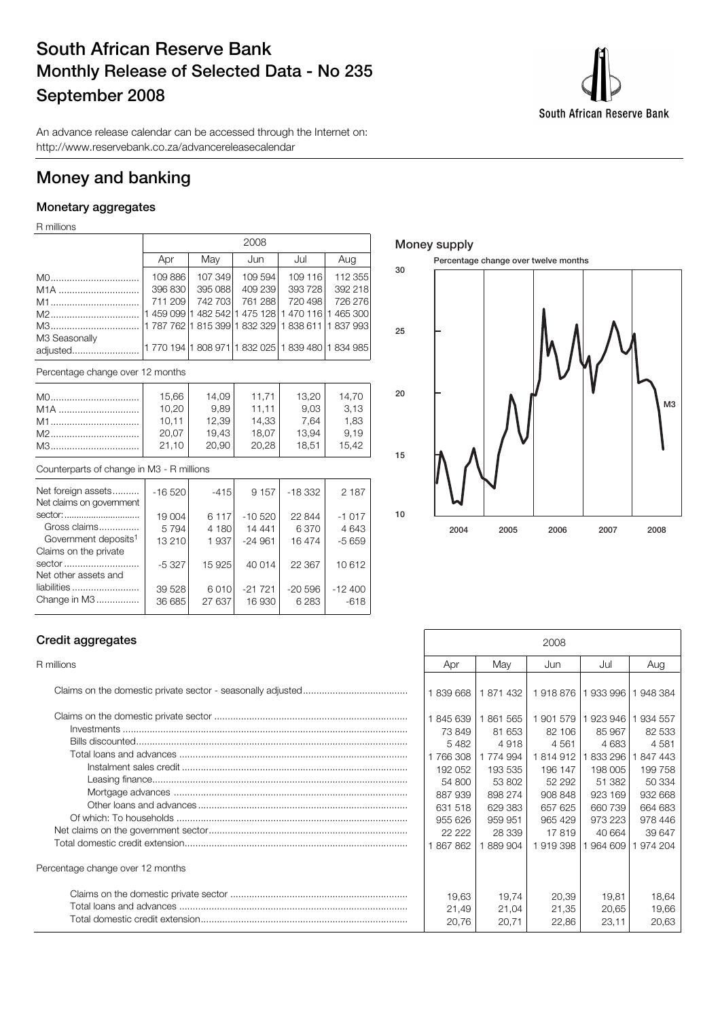# **South African Reserve Bank Monthly Release of Selected Data - No 235 September 2008**

South African Reserve Bank

An advance release calendar can be accessed through the Internet on: http://www.reservebank.co.za/advancereleasecalendar

## **Money and banking**

## **Monetary aggregates**

R millions

|                                  | 2008    |         |         |                                                     |         |  |  |  |  |  |
|----------------------------------|---------|---------|---------|-----------------------------------------------------|---------|--|--|--|--|--|
|                                  | Apr     | May     | Jun     | Jul                                                 | Aug     |  |  |  |  |  |
| M0                               | 109886  | 107 349 | 109 594 | 109 116                                             | 112 355 |  |  |  |  |  |
| M <sub>1</sub> A                 | 396 830 | 395 088 | 409 239 | 393728                                              | 392 218 |  |  |  |  |  |
| M1                               | 711 209 | 742 703 | 761 288 | 720 498                                             | 726 276 |  |  |  |  |  |
| M2                               |         |         |         | 1 459 099 1 482 542 1 475 128 1 470 116 1 465 300   |         |  |  |  |  |  |
| M3                               |         |         |         | 11 787 762 11 815 399 1 832 329 1 838 611 1 837 993 |         |  |  |  |  |  |
| M3 Seasonally<br>adjusted        |         |         |         | 11 770 194 1 808 971 1 832 025 1 839 480 1 834 985  |         |  |  |  |  |  |
| Percentage change over 12 months |         |         |         |                                                     |         |  |  |  |  |  |

| M0               | 15,66 | 14,09 | 11,71 | 13,20 | 14,70 |
|------------------|-------|-------|-------|-------|-------|
| M <sub>1</sub> A | 10,20 | 9.89  | 11.11 | 9,03  | 3,13  |
| M1               | 10.11 | 12,39 | 14,33 | 7.64  | 1,83  |
| M2               | 20,07 | 19,43 | 18,07 | 13,94 | 9.19  |
| M3               | 21,10 | 20.90 | 20,28 | 18.51 | 15,42 |

### Counterparts of change in M3 - R millions

| Net foreign assets<br>Net claims on government                      | $-16520$          | $-415$           | 9 1 5 7            | $-18332$            | 2 1 8 7            |
|---------------------------------------------------------------------|-------------------|------------------|--------------------|---------------------|--------------------|
| sector:<br>Gross claims                                             | 19 004<br>5794    | 6 1 1 7<br>4 180 | $-10520$<br>14 441 | 22 844<br>6370      | $-1017$<br>4643    |
| Government deposits <sup>1</sup><br>Claims on the private<br>sector | 13 210            | 1937             | $-24961$           | 16 474              | $-5659$            |
| Net other assets and                                                | $-5327$           | 15 925           | 40 014             | 22 367              | 10 612             |
| liabilities<br>Change in M3                                         | 39 5 28<br>36 685 | 6010<br>27 637   | $-21721$<br>16 930 | $-20596$<br>6 2 8 3 | $-12400$<br>$-618$ |

### **Money supply**



### **Credit aggregates**

| Percentage change over 12 months |  |
|----------------------------------|--|
|                                  |  |

| Credit aggregates                | 2008                                                                             |                                                                                 |                                                                                |                                                                                    |                                                                                    |
|----------------------------------|----------------------------------------------------------------------------------|---------------------------------------------------------------------------------|--------------------------------------------------------------------------------|------------------------------------------------------------------------------------|------------------------------------------------------------------------------------|
| R millions                       | Apr                                                                              | May                                                                             | Jun                                                                            | Jul                                                                                | Aug                                                                                |
|                                  | 1839668                                                                          | 1871432                                                                         | 1918 876 1933 996                                                              |                                                                                    | 948 384                                                                            |
|                                  | 1845639<br>73849                                                                 | 1861565<br>81 653                                                               | 1 901 579 1 923 946<br>82 106                                                  | 85 967                                                                             | 934 557<br>82 533                                                                  |
|                                  | 5482<br>1766308<br>192 052<br>54 800<br>887939<br>631 518<br>955 626<br>22 2 2 2 | 4918<br>1774994<br>193 535<br>53 802<br>898 274<br>629 383<br>959 951<br>28 339 | 4561<br>1814912<br>196 147<br>52 292<br>908 848<br>657 625<br>965 429<br>17819 | 4 6 8 3<br>833 296<br>198 005<br>51 382<br>923 169<br>660 739<br>973 223<br>40 664 | 4 5 8 1<br>847 443<br>199 758<br>50 334<br>932 668<br>664 683<br>978 446<br>39 647 |
|                                  | 1867862                                                                          | 889 904                                                                         | 1919398                                                                        | 964 609                                                                            | 974 204                                                                            |
| Percentage change over 12 months |                                                                                  |                                                                                 |                                                                                |                                                                                    |                                                                                    |
|                                  | 19.63<br>21,49<br>20,76                                                          | 19.74<br>21,04<br>20,71                                                         | 20,39<br>21,35<br>22,86                                                        | 19.81<br>20,65<br>23,11                                                            | 18,64<br>19,66<br>20,63                                                            |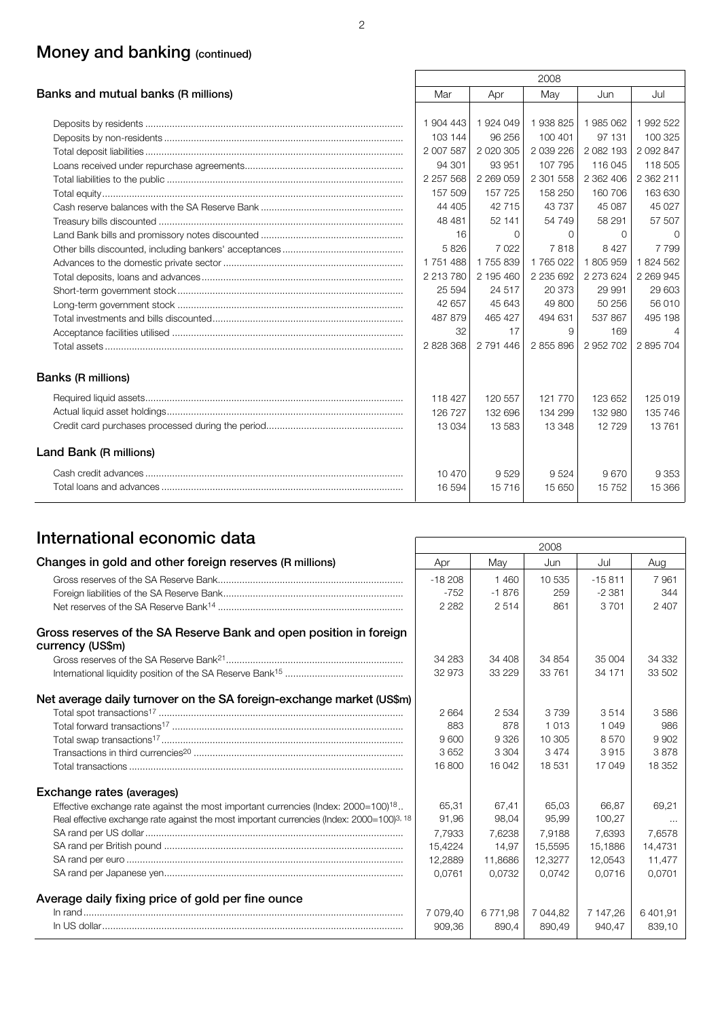# **Money and banking (continued)**

| 2008                                |           |               |               |           |               |
|-------------------------------------|-----------|---------------|---------------|-----------|---------------|
| Banks and mutual banks (R millions) | Mar       | Apr           | May           | Jun       | Jul           |
|                                     |           |               |               |           |               |
|                                     | 1 904 443 | 1924049       | 1938825       | 1985062   | 1 992 522     |
|                                     | 103 144   | 96 256        | 100 401       | 97 131    | 100 325       |
|                                     | 2 007 587 | 2 0 2 0 3 0 5 | 2 0 3 22 6    | 2 082 193 | 2 0 9 2 8 4 7 |
|                                     | 94 301    | 93 951        | 107 795       | 116 045   | 118 505       |
|                                     | 2 257 568 | 2 269 059     | 2 301 558     | 2 362 406 | 2 362 211     |
|                                     | 157 509   | 157 725       | 158 250       | 160 706   | 163 630       |
|                                     | 44 405    | 42 715        | 43 737        | 45 087    | 45 027        |
|                                     | 48 481    | 52 141        | 54 749        | 58 291    | 57 507        |
|                                     | 16        | $\Omega$      | $\Omega$      | $\Omega$  | $\Omega$      |
|                                     | 5826      | 7022          | 7818          | 8 4 2 7   | 7 7 9 9       |
|                                     | 1751488   | 1755839       | 1765022       | 1805959   | 1824 562      |
|                                     | 2 213 780 | 2 195 460     | 2 2 3 6 6 9 2 | 2 273 624 | 2 2 6 9 9 4 5 |
|                                     | 25 5 94   | 24 517        | 20 373        | 29 991    | 29 603        |
|                                     | 42 657    | 45 643        | 49 800        | 50 256    | 56 010        |
|                                     | 487 879   | 465 427       | 494 631       | 537 867   | 495 198       |
|                                     | 32        | 17            | 9             | 169       | 4             |
|                                     | 2 828 368 | 2 791 446     | 2855896       | 2 952 702 | 2895704       |
| Banks (R millions)                  |           |               |               |           |               |
|                                     | 118 427   | 120 557       | 121 770       | 123 652   | 125 019       |
|                                     | 126 727   | 132 696       | 134 299       | 132 980   | 135 746       |
|                                     | 13 0 34   | 13 5 83       | 13 348        | 12729     | 13761         |
| Land Bank (R millions)              |           |               |               |           |               |
|                                     | 10 470    | 9529          | 9524          | 9670      | 9 3 5 3       |
|                                     | 16 594    | 15716         | 15 650        | 15752     | 15 366        |

# **International economic data** 2008

|                                                                                                       |          |          | ZUU8     |           |          |
|-------------------------------------------------------------------------------------------------------|----------|----------|----------|-----------|----------|
| Changes in gold and other foreign reserves (R millions)                                               | Apr      | May      | Jun      | Jul       | Aug      |
|                                                                                                       | $-18208$ | 1460     | 10 535   | $-15.811$ | 7961     |
|                                                                                                       | $-752$   | $-1876$  | 259      | $-2.381$  | 344      |
|                                                                                                       | 2 2 8 2  | 2514     | 861      | 3701      | 2 4 0 7  |
| Gross reserves of the SA Reserve Bank and open position in foreign<br>currency (US\$m)                |          |          |          |           |          |
|                                                                                                       | 34 283   | 34 408   | 34 854   | 35 004    | 34 332   |
|                                                                                                       | 32 973   | 33 2 2 9 | 33 761   | 34 171    | 33 502   |
| Net average daily turnover on the SA foreign-exchange market (US\$m)                                  |          |          |          |           |          |
|                                                                                                       | 2664     | 2 5 3 4  | 3 7 3 9  | 3514      | 3586     |
|                                                                                                       | 883      | 878      | 1 0 1 3  | 1 0 4 9   | 986      |
|                                                                                                       | 9600     | 9 3 2 6  | 10 305   | 8570      | 9 9 0 2  |
|                                                                                                       | 3652     | 3 3 0 4  | 3474     | 3915      | 3878     |
|                                                                                                       | 16 800   | 16 042   | 18 531   | 17 049    | 18 352   |
| Exchange rates (averages)                                                                             |          |          |          |           |          |
| Effective exchange rate against the most important currencies (Index: 2000=100) <sup>18</sup>         | 65.31    | 67.41    | 65.03    | 66.87     | 69.21    |
| Real effective exchange rate against the most important currencies (Index: 2000=100) <sup>3, 18</sup> | 91,96    | 98,04    | 95,99    | 100,27    | $\cdots$ |
|                                                                                                       | 7,7933   | 7,6238   | 7,9188   | 7,6393    | 7,6578   |
|                                                                                                       | 15,4224  | 14.97    | 15.5595  | 15.1886   | 14.4731  |
|                                                                                                       | 12,2889  | 11,8686  | 12,3277  | 12,0543   | 11,477   |
|                                                                                                       | 0.0761   | 0.0732   | 0.0742   | 0.0716    | 0.0701   |
| Average daily fixing price of gold per fine ounce                                                     |          |          |          |           |          |
|                                                                                                       | 7 079,40 | 6771,98  | 7 044,82 | 7 147,26  | 6 401,91 |
|                                                                                                       | 909.36   | 890.4    | 890,49   | 940.47    | 839,10   |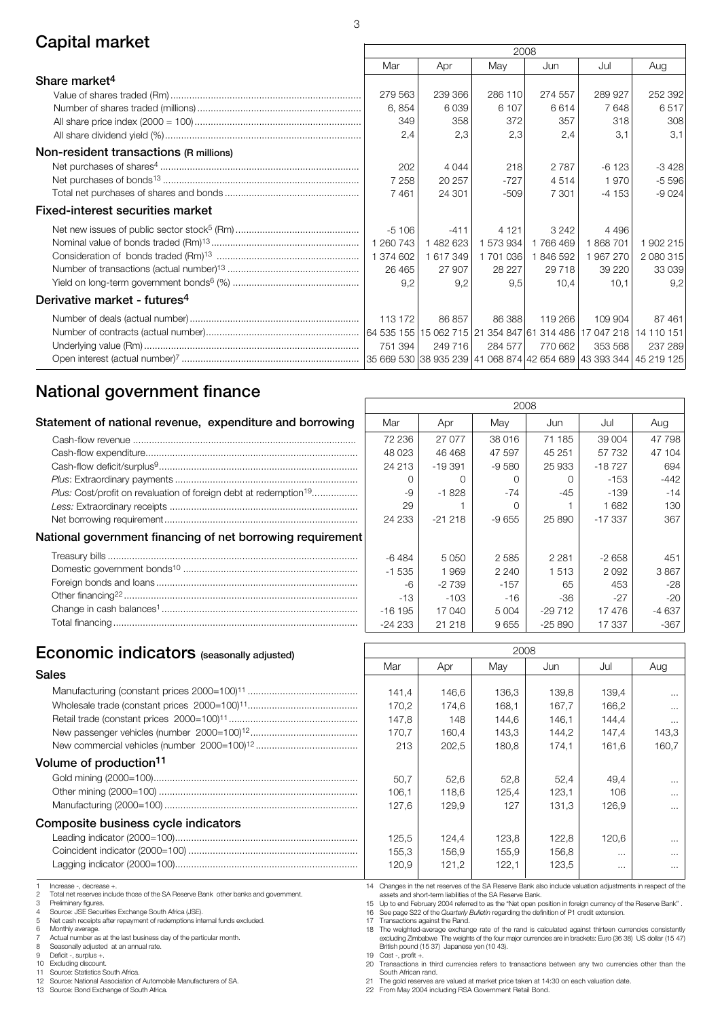## **Capital market** 2008

|                                          | ZUUO      |           |           |         |         |           |
|------------------------------------------|-----------|-----------|-----------|---------|---------|-----------|
|                                          | Mar       | Apr       | May       | Jun     | Jul     | Aug       |
| Share market <sup>4</sup>                |           |           |           |         |         |           |
|                                          | 279 563   | 239 366   | 286 110   | 274 557 | 289 927 | 252 392   |
|                                          | 6,854     | 6039      | 6 107     | 6614    | 7648    | 6517      |
|                                          | 349       | 358       | 372       | 357     | 318     | 308       |
|                                          | 2,4       | 2,3       | 2,3       | 2.4     | 3.1     | 3,1       |
| Non-resident transactions (R millions)   |           |           |           |         |         |           |
|                                          | 202       | 4 0 4 4   | 218       | 2 7 8 7 | $-6123$ | $-3428$   |
|                                          | 7 2 5 8   | 20 257    | $-727$    | 4514    | 1970    | $-5596$   |
|                                          | 7461      | 24 301    | $-509$    | 7 3 0 1 | $-4153$ | $-9024$   |
| <b>Fixed-interest securities market</b>  |           |           |           |         |         |           |
|                                          | $-5106$   | $-411$    | 4 1 2 1   | 3 2 4 2 | 4 4 9 6 |           |
|                                          | 1 260 743 | 1 482 623 | 1 573 934 | 1766469 | 1868701 | 1 902 215 |
|                                          | 1 374 602 | 1 617 349 | 1 701 036 | 1846592 | 1967270 | 2 080 315 |
|                                          | 26 4 65   | 27 907    | 28 227    | 29 718  | 39 2 20 | 33 039    |
|                                          | 9,2       | 9,2       | 9,5       | 10.4    | 10,1    | 9,2       |
| Derivative market - futures <sup>4</sup> |           |           |           |         |         |           |
|                                          | 113 172   | 86 857    | 86 388    | 119 266 | 109 904 | 87 461    |
|                                          |           |           |           |         |         |           |
|                                          | 751 394   | 249 716   | 284 577   | 770 662 | 353 568 | 237 289   |
|                                          |           |           |           |         |         |           |

3

## **National government finance**

| Statement of national revenue, expenditure and borrowing                     | Mar      | Apr      | May     | Jun      | Jul       | Aug  |
|------------------------------------------------------------------------------|----------|----------|---------|----------|-----------|------|
|                                                                              | 72 236   | 27 077   | 38 016  | 71 185   | 39 004    | 477  |
|                                                                              | 48 0 23  | 46 4 68  | 47 597  | 45 251   | 57 732    | 471  |
|                                                                              | 24 213   | $-19391$ | $-9580$ | 25 933   | $-18727$  | Е    |
|                                                                              |          |          |         |          | $-153$    |      |
| Plus: Cost/profit on revaluation of foreign debt at redemption <sup>19</sup> | -9       | -1 828   | -74     | $-45$    | -139      |      |
|                                                                              | 29       |          |         |          | 1682      |      |
|                                                                              | 24 233   | $-21218$ | -9 655  | 25 890   | $-17.337$ |      |
| National government financing of net borrowing requirement                   |          |          |         |          |           |      |
|                                                                              | -6 484   | 5 0 5 0  | 2 5 8 5 | 2 2 8 1  | $-2658$   |      |
|                                                                              | $-1535$  | 1969     | 2 2 4 0 | 1 5 1 3  | 2092      | 38   |
|                                                                              | $-6$     | $-2739$  | $-157$  | 65       | 453       |      |
|                                                                              | $-13$    | -103     | -16     | -36      | $-27$     |      |
|                                                                              | $-16195$ | 17 040   | 5 0 0 4 | $-29712$ | 17476     | -4 6 |
|                                                                              | $-24233$ | 21 218   | 9655    | -25 890  | 17 337    |      |

| 2008     |          |         |          |          |        |  |  |  |
|----------|----------|---------|----------|----------|--------|--|--|--|
| Mar      | Apr      | May     | Jun      | Jul      | Aug    |  |  |  |
| 72 236   | 27 077   | 38 016  | 71 185   | 39 004   | 47 798 |  |  |  |
| 48 0 23  | 46 468   | 47 597  | 45 251   | 57 732   | 47 104 |  |  |  |
| 24 213   | $-19391$ | $-9580$ | 25 933   | $-18727$ | 694    |  |  |  |
| ∩        | ∩        | Ω       | Ω        | $-153$   | -442   |  |  |  |
| -9       | $-1828$  | $-74$   | -45      | -139     | $-14$  |  |  |  |
| 29       |          | Ω       |          | 1682     | 130    |  |  |  |
| 24 233   | $-21218$ | $-9655$ | 25 890   | $-17337$ | 367    |  |  |  |
|          |          |         |          |          |        |  |  |  |
| $-6484$  | 5 0 5 0  | 2585    | 2 2 8 1  | $-2658$  | 451    |  |  |  |
| $-1535$  | 1969     | 2 2 4 0 | 1513     | 2092     | 3867   |  |  |  |
| -6       | $-2739$  | $-157$  | 65       | 453      | -28    |  |  |  |
| $-13$    | $-103$   | $-16$   | -36      | $-27$    | -20    |  |  |  |
| $-16195$ | 17 040   | 5 0 0 4 | $-29712$ | 17476    | -4 637 |  |  |  |
| -24 233  | 21 218   | 9655    | $-25890$ | 17 337   | -367   |  |  |  |

# **Economic indicators** (seasonally adjusted) Mar Apr May 2008

|                                     | Mar   | Apr   | Mav   | Jun   | Jul      | Aug      |
|-------------------------------------|-------|-------|-------|-------|----------|----------|
| Sales                               |       |       |       |       |          |          |
|                                     | 141.4 | 146.6 | 136.3 | 139.8 | 139.4    | $\cdots$ |
|                                     | 170.2 | 174.6 | 168.1 | 167.7 | 166.2    | $\cdots$ |
|                                     | 147.8 | 148   | 144.6 | 146.1 | 144.4    | $\cdots$ |
|                                     | 170.7 | 160,4 | 143,3 | 144.2 | 147.4    | 143.3    |
|                                     | 213   | 202.5 | 180.8 | 174.1 | 161.6    | 160.7    |
| Volume of production <sup>11</sup>  |       |       |       |       |          |          |
|                                     | 50.7  | 52,6  | 52.8  | 52.4  | 49.4     | $\cdots$ |
|                                     | 106.1 | 118.6 | 125.4 | 123.1 | 106      | $\cdots$ |
|                                     | 127.6 | 129.9 | 127   | 131.3 | 126.9    | $\cdots$ |
| Composite business cycle indicators |       |       |       |       |          |          |
|                                     | 125.5 | 124.4 | 123.8 | 122.8 | 120.6    | $\cdots$ |
|                                     | 155.3 | 156.9 | 155.9 | 156.8 | $\cdots$ | $\cdots$ |

1 Increase -, decrease +.<br>2 Total net reserves inclu

2 Total net reserves include those of the SA Reserve Bank other banks and government. 3 Preliminary figures.

Lagging indicator (2000=100)....................................................................

4 Source: JSE Securities Exchange South Africa (JSE). 5 Net cash receipts after repayment of redemptions internal funds excluded.

6 Monthly average.

7 Actual number as at the last business day of the particular month.<br>
8 Seasonally adjusted at an annual rate.<br>
9 Deficit - surplus +.

8 Seasonally adjusted at an annual rate. 9 Deficit -, surplus +.

10 Excluding discount.<br>11 Source: Statistics S

11 Source: Statistics South Africa.<br>12 Source: National Association of 12 Source: National Association of Automobile Manufacturers of SA.<br>13 Source: Bond Exchange of South Africa.

Source: Bond Exchange of South Africa.

14 Changes in the net reserves of the SA Reserve Bank also include valuation adjustments in respect of the

 $120,9$  121,2 122,1 123,5 ...

assets and short-term liabilities of the SA Reserve Bank.<br>15 Up to end February 2004 referred to as the "Net open position in foreign currency of the Reserve Bank" .<br>16 See page S22 of the Quarterly Bulletin regarding the

17 Transactions against the Rand. 18 The weighted-average exchange rate of the rand is calculated against thirteen currencies consistently excluding Zimbabwe The weights of the four major currencies are in brackets: Euro (36 38) US dollar (15 47) British pound (15 37) Japanese yen (10 43).

19 Cost -, profit +. 20 Transactions in third currencies refers to transactions between any two currencies other than the

South African rand. 21 The gold reserves are valued at market price taken at 14:30 on each valuation date.

22 From May 2004 including RSA Government Retail Bond.